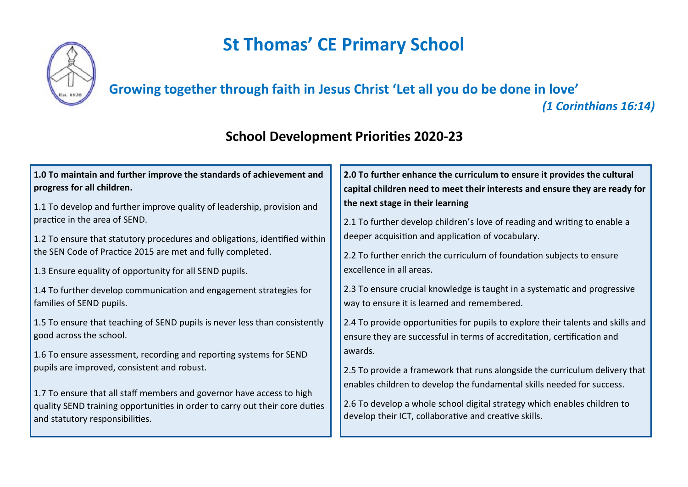## **St Thomas' CE Primary School**



## **Growing together through faith in Jesus Christ 'Let all you do be done in love'**

*(1 Corinthians 16:14)*

## **School Development Priorities 2020-23**

| 1.0 To maintain and further improve the standards of achievement and        | 2.0 To further enhance the curriculum to ensure it provides the cultural        |
|-----------------------------------------------------------------------------|---------------------------------------------------------------------------------|
| progress for all children.                                                  | capital children need to meet their interests and ensure they are ready for     |
| 1.1 To develop and further improve quality of leadership, provision and     | the next stage in their learning                                                |
| practice in the area of SEND.                                               | 2.1 To further develop children's love of reading and writing to enable a       |
| 1.2 To ensure that statutory procedures and obligations, identified within  | deeper acquisition and application of vocabulary.                               |
| the SEN Code of Practice 2015 are met and fully completed.                  | 2.2 To further enrich the curriculum of foundation subjects to ensure           |
| 1.3 Ensure equality of opportunity for all SEND pupils.                     | excellence in all areas.                                                        |
| 1.4 To further develop communication and engagement strategies for          | 2.3 To ensure crucial knowledge is taught in a systematic and progressive       |
| families of SEND pupils.                                                    | way to ensure it is learned and remembered.                                     |
| 1.5 To ensure that teaching of SEND pupils is never less than consistently  | 2.4 To provide opportunities for pupils to explore their talents and skills and |
| good across the school.                                                     | ensure they are successful in terms of accreditation, certification and         |
| 1.6 To ensure assessment, recording and reporting systems for SEND          | awards.                                                                         |
| pupils are improved, consistent and robust.                                 | 2.5 To provide a framework that runs alongside the curriculum delivery that     |
| 1.7 To ensure that all staff members and governor have access to high       | enables children to develop the fundamental skills needed for success.          |
| quality SEND training opportunities in order to carry out their core duties | 2.6 To develop a whole school digital strategy which enables children to        |
| and statutory responsibilities.                                             | develop their ICT, collaborative and creative skills.                           |